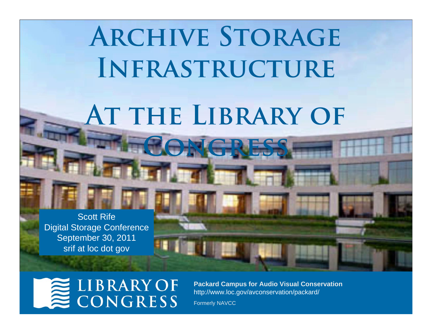# **ARCHIVE STORAGE Infrastructure**

## **At the Library of Congress**

Scott RifeDigital Storage Conference September 30, 2011 srif at loc dot gov

## **LIBRARY OF<br>CONGRESS**

**Packard Campus for Audio Visual Conservation** http://www.loc.gov/avconservation/packard/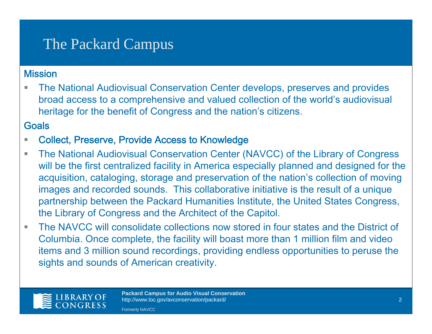## The Packard Campus

#### **Mission**

 The National Audiovisual Conservation Center develops, preserves and provides broad access to a comprehensive and valued collection of the world's audiovisual heritage for the benefit of Congress and the nation's citizens.

#### **Goals**

- Collect, Preserve, Provide Access to Knowledge
- $\overline{\phantom{a}}$  The National Audiovisual Conservation Center (NAVCC) of the Library of Congress will be the first centralized facility in America especially planned and designed for the acquisition, cataloging, storage and preservation of the nation's collection of moving images and recorded sounds. This collaborative initiative is the result of a unique partnership between the Packard Humanities Institute, the United States Congress, the Library of Congress and the Architect of the Capitol.
- The NAVCC will consolidate collections now stored in four states and the District of Columbia. Once complete, the facility will boast more than 1 million film and video items and 3 million sound recordings, providing endless opportunities to peruse the sights and sounds of American creativity.

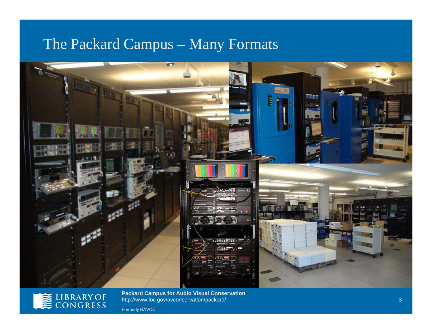#### The Packard Campus – Many Formats





**Packard Campus for Audio Visual Conservation** http://www.loc.gov/avconservation/packard/ Formerly NAVCC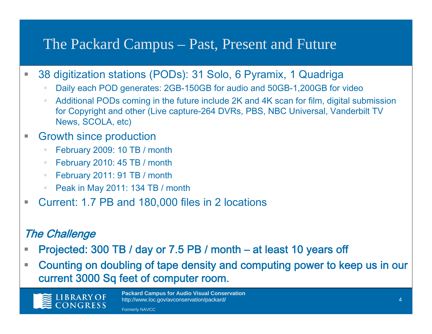#### The Packard Campus – Past, Present and Future

- Г 38 digitization stations (PODs): 31 Solo, 6 Pyramix, 1 Quadriga
	- Daily each POD generates: 2GB-150GB for audio and 50GB-1,200GB for video
	- **Additional PODs coming in the future include 2K and 4K scan for film, digital submission** for Copyright and other (Live capture-264 DVRs, PBS, NBC Universal, Vanderbilt TV News, SCOLA, etc)
- Г Growth since production
	- $\mathbb{R}^d$ February 2009: 10 TB / month
	- February 2010: 45 TB / month
	- February 2011: 91 TB / month
	- Peak in May 2011: 134 TB / month
- h. Current: 1.7 PB and 180,000 files in 2 locations

#### The Challenge

- Г Projected: 300 TB / day or 7.5 PB / month – at least 10 years off
- $\mathcal{L}_{\mathcal{A}}$  Counting on doubling of tape density and computing power to keep us in our current 3000 Sq feet of computer room.

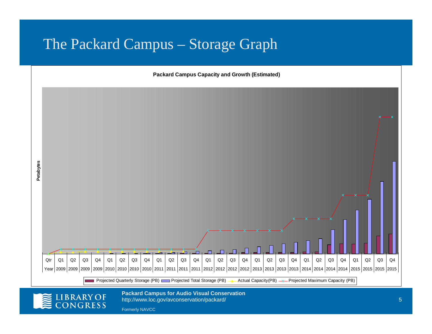#### The Packard Campus – Storage Graph



Formerly NAVCC

ONGRESS

http://www.loc.gov/avconservation/packard/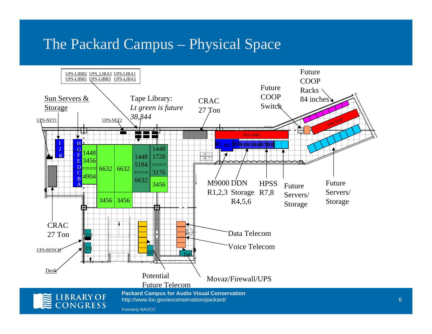#### The Packard Campus – Physical Space



6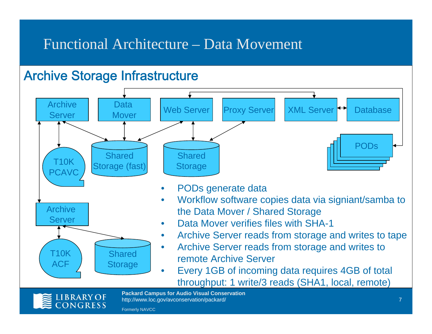#### Functional Architecture – Data Movement

#### Archive Storage Infrastructure





Formerly NAVCC

**LIBRARY OF CONGRESS**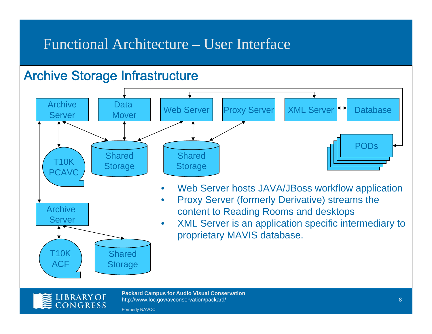#### Functional Architecture – User Interface

#### Archive Storage Infrastructure





**Packard Campus for Audio Visual Conservation** http://www.loc.gov/avconservation/packard/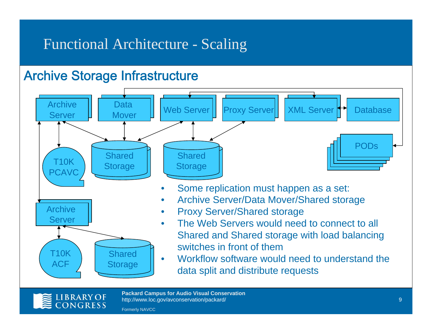#### Functional Architecture - Scaling

#### Archive Storage Infrastructure





**Packard Campus for Audio Visual Conservation** http://www.loc.gov/avconservation/packard/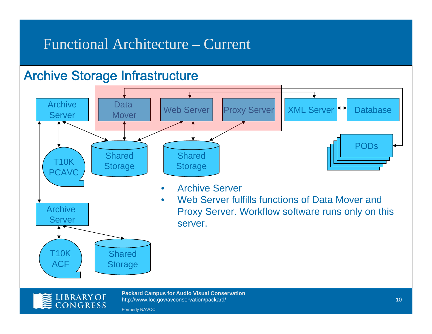#### Functional Architecture – Current

#### Archive Storage Infrastructure





**Packard Campus for Audio Visual Conservation** http://www.loc.gov/avconservation/packard/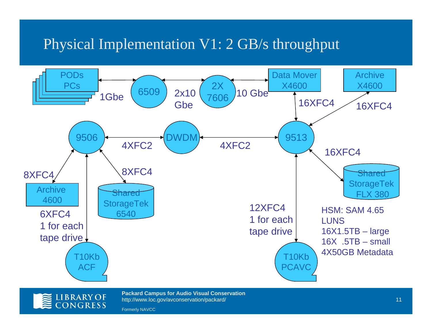## Physical Implementation V1: 2 GB/s throughput





**Packard Campus for Audio Visual Conservation** http://www.loc.gov/avconservation/packard/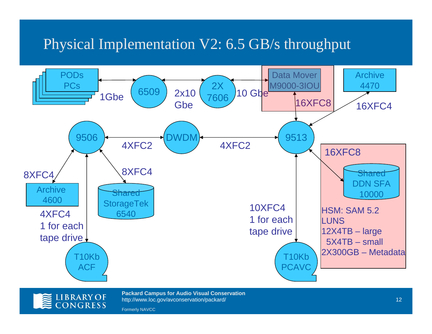## Physical Implementation V2: 6.5 GB/s throughput





**Packard Campus for Audio Visual Conservation** http://www.loc.gov/avconservation/packard/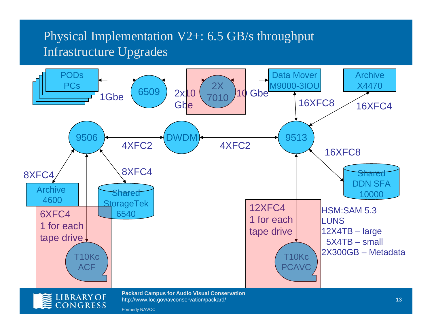#### Physical Implementation V2+: 6.5 GB/s throughput Infrastructure Upgrades

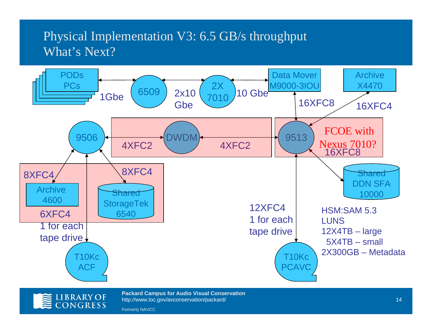#### Physical Implementation V3: 6.5 GB/s throughput What's Next?





**Packard Campus for Audio Visual Conservation** http://www.loc.gov/avconservation/packard/